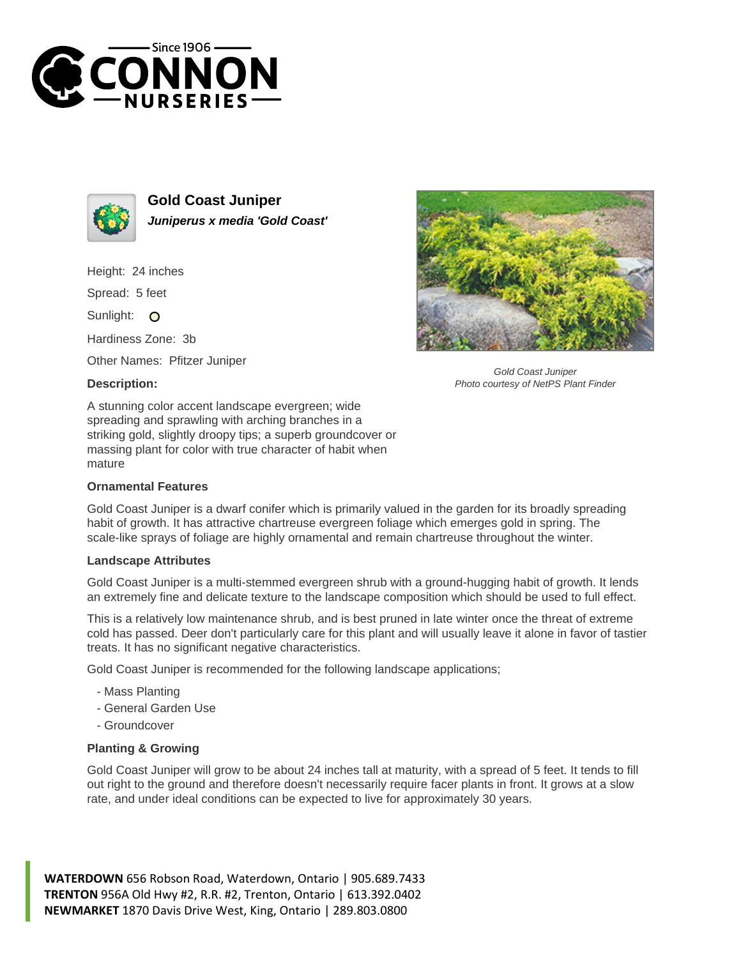



**Gold Coast Juniper Juniperus x media 'Gold Coast'**

Height: 24 inches

Spread: 5 feet

Sunlight: O

Hardiness Zone: 3b

Other Names: Pfitzer Juniper

## **Description:**



Gold Coast Juniper Photo courtesy of NetPS Plant Finder

A stunning color accent landscape evergreen; wide spreading and sprawling with arching branches in a striking gold, slightly droopy tips; a superb groundcover or massing plant for color with true character of habit when mature

## **Ornamental Features**

Gold Coast Juniper is a dwarf conifer which is primarily valued in the garden for its broadly spreading habit of growth. It has attractive chartreuse evergreen foliage which emerges gold in spring. The scale-like sprays of foliage are highly ornamental and remain chartreuse throughout the winter.

## **Landscape Attributes**

Gold Coast Juniper is a multi-stemmed evergreen shrub with a ground-hugging habit of growth. It lends an extremely fine and delicate texture to the landscape composition which should be used to full effect.

This is a relatively low maintenance shrub, and is best pruned in late winter once the threat of extreme cold has passed. Deer don't particularly care for this plant and will usually leave it alone in favor of tastier treats. It has no significant negative characteristics.

Gold Coast Juniper is recommended for the following landscape applications;

- Mass Planting
- General Garden Use
- Groundcover

## **Planting & Growing**

Gold Coast Juniper will grow to be about 24 inches tall at maturity, with a spread of 5 feet. It tends to fill out right to the ground and therefore doesn't necessarily require facer plants in front. It grows at a slow rate, and under ideal conditions can be expected to live for approximately 30 years.

**WATERDOWN** 656 Robson Road, Waterdown, Ontario | 905.689.7433 **TRENTON** 956A Old Hwy #2, R.R. #2, Trenton, Ontario | 613.392.0402 **NEWMARKET** 1870 Davis Drive West, King, Ontario | 289.803.0800